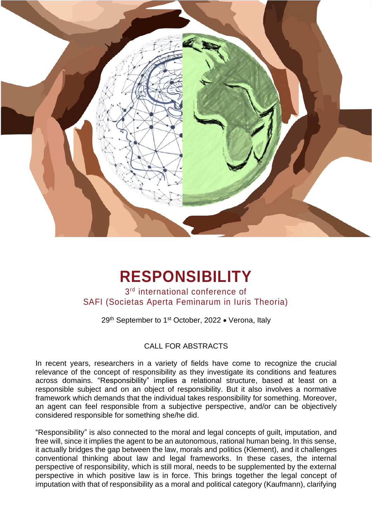

# **RESPONSIBILITY**

3 rd international conference of SAFI (Societas Aperta Feminarum in Iuris Theoria)

29<sup>th</sup> September to 1<sup>st</sup> October, 2022 • Verona, Italy

## CALL FOR ABSTRACTS

In recent years, researchers in a variety of fields have come to recognize the crucial relevance of the concept of responsibility as they investigate its conditions and features across domains. "Responsibility" implies a relational structure, based at least on a responsible subject and on an object of responsibility. But it also involves a normative framework which demands that the individual takes responsibility for something. Moreover, an agent can feel responsible from a subjective perspective, and/or can be objectively considered responsible for something she/he did.

"Responsibility" is also connected to the moral and legal concepts of guilt, imputation, and free will, since it implies the agent to be an autonomous, rational human being. In this sense, it actually bridges the gap between the law, morals and politics (Klement), and it challenges conventional thinking about law and legal frameworks. In these cases, the internal perspective of responsibility, which is still moral, needs to be supplemented by the external perspective in which positive law is in force. This brings together the legal concept of imputation with that of responsibility as a moral and political category (Kaufmann), clarifying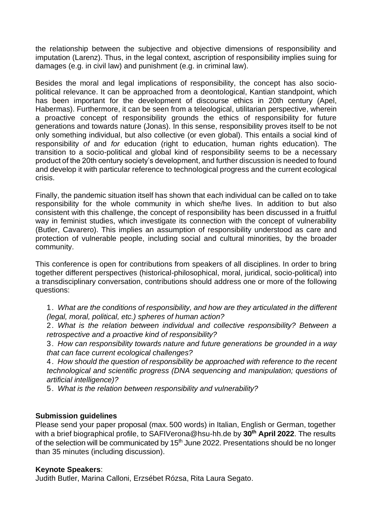the relationship between the subjective and objective dimensions of responsibility and imputation (Larenz). Thus, in the legal context, ascription of responsibility implies suing for damages (e.g. in civil law) and punishment (e.g. in criminal law).

Besides the moral and legal implications of responsibility, the concept has also sociopolitical relevance. It can be approached from a deontological, Kantian standpoint, which has been important for the development of discourse ethics in 20th century (Apel, Habermas). Furthermore, it can be seen from a teleological, utilitarian perspective, wherein a proactive concept of responsibility grounds the ethics of responsibility for future generations and towards nature (Jonas). In this sense, responsibility proves itself to be not only something individual, but also collective (or even global). This entails a social kind of responsibility *of* and *for* education (right to education, human rights education). The transition to a socio-political and global kind of responsibility seems to be a necessary product of the 20th century society's development, and further discussion is needed to found and develop it with particular reference to technological progress and the current ecological crisis.

Finally, the pandemic situation itself has shown that each individual can be called on to take responsibility for the whole community in which she/he lives. In addition to but also consistent with this challenge, the concept of responsibility has been discussed in a fruitful way in feminist studies, which investigate its connection with the concept of vulnerability (Butler, Cavarero). This implies an assumption of responsibility understood as care and protection of vulnerable people, including social and cultural minorities, by the broader community.

This conference is open for contributions from speakers of all disciplines. In order to bring together different perspectives (historical-philosophical, moral, juridical, socio-political) into a transdisciplinary conversation, contributions should address one or more of the following questions:

1. *What are the conditions of responsibility, and how are they articulated in the different (legal, moral, political, etc.) spheres of human action?*

2. *What is the relation between individual and collective responsibility? Between a retrospective and a proactive kind of responsibility?*

3. *How can responsibility towards nature and future generations be grounded in a way that can face current ecological challenges?*

4. *How should the question of responsibility be approached with reference to the recent technological and scientific progress (DNA sequencing and manipulation; questions of artificial intelligence)?*

5. *What is the relation between responsibility and vulnerability?*

### **Submission guidelines**

Please send your paper proposal (max. 500 words) in Italian, English or German, together with a brief biographical profile, to SAFIVerona@hsu-hh.de by **30 th April 2022**. The results of the selection will be communicated by 15<sup>th</sup> June 2022. Presentations should be no longer than 35 minutes (including discussion).

### **Keynote Speakers**:

Judith Butler, Marina Calloni, Erzsébet Rózsa, Rita Laura Segato.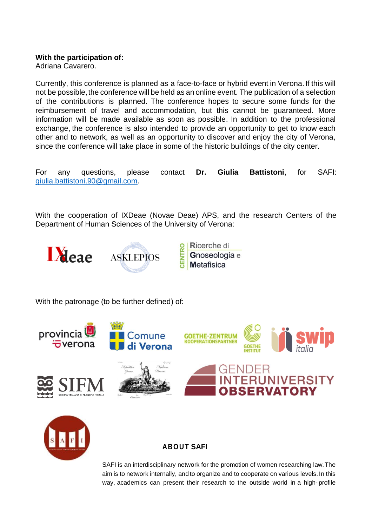### **With the participation of:**

Adriana Cavarero.

Currently, this conference is planned as a face-to-face or hybrid event in Verona. If this will not be possible, the conference will be held as an online event. The publication of a selection of the contributions is planned. The conference hopes to secure some funds for the reimbursement of travel and accommodation, but this cannot be guaranteed. More information will be made available as soon as possible. In addition to the professional exchange, the conference is also intended to provide an opportunity to get to know each other and to network, as well as an opportunity to discover and enjoy the city of Verona, since the conference will take place in some of the historic buildings of the city center.

For any questions, please contact **Dr. Giulia Battistoni**, for SAFI: [giulia.battistoni.90@gmail.com.](mailto:giulia.battistoni.90@gmail.com)

With the cooperation of IXDeae (Novae Deae) APS, and the research Centers of the Department of Human Sciences of the University of Verona:



With the patronage (to be further defined) of:





## **ABOUT SAFI**

SAFI is an interdisciplinary network for the promotion of women researching law.The aim is to network internally, and to organize and to cooperate on various levels. In this way, academics can present their research to the outside world in a high-profile